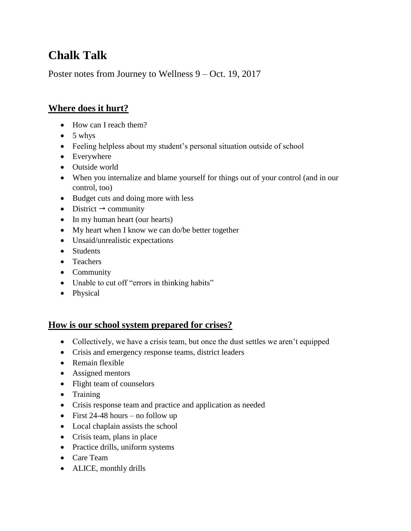# **Chalk Talk**

Poster notes from Journey to Wellness 9 – Oct. 19, 2017

## **Where does it hurt?**

- How can I reach them?
- $\bullet$  5 whys
- Feeling helpless about my student's personal situation outside of school
- Everywhere
- Outside world
- When you internalize and blame yourself for things out of your control (and in our control, too)
- Budget cuts and doing more with less
- $\bullet$  District  $\rightarrow$  community
- In my human heart (our hearts)
- My heart when I know we can do/be better together
- Unsaid/unrealistic expectations
- Students
- Teachers
- Community
- Unable to cut off "errors in thinking habits"
- Physical

#### **How is our school system prepared for crises?**

- Collectively, we have a crisis team, but once the dust settles we aren't equipped
- Crisis and emergency response teams, district leaders
- Remain flexible
- Assigned mentors
- Flight team of counselors
- Training
- Crisis response team and practice and application as needed
- First 24-48 hours no follow up
- Local chaplain assists the school
- Crisis team, plans in place
- Practice drills, uniform systems
- Care Team
- ALICE, monthly drills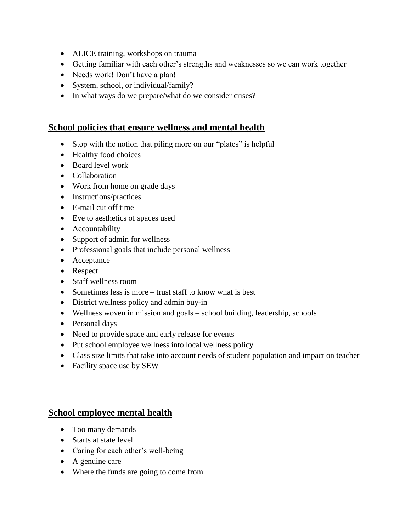- ALICE training, workshops on trauma
- Getting familiar with each other's strengths and weaknesses so we can work together
- Needs work! Don't have a plan!
- System, school, or individual/family?
- In what ways do we prepare/what do we consider crises?

#### **School policies that ensure wellness and mental health**

- Stop with the notion that piling more on our "plates" is helpful
- Healthy food choices
- Board level work
- Collaboration
- Work from home on grade days
- Instructions/practices
- E-mail cut off time
- Eye to aesthetics of spaces used
- Accountability
- Support of admin for wellness
- Professional goals that include personal wellness
- Acceptance
- Respect
- Staff wellness room
- Sometimes less is more trust staff to know what is best
- District wellness policy and admin buy-in
- Wellness woven in mission and goals school building, leadership, schools
- Personal days
- Need to provide space and early release for events
- Put school employee wellness into local wellness policy
- Class size limits that take into account needs of student population and impact on teacher
- Facility space use by SEW

#### **School employee mental health**

- Too many demands
- Starts at state level
- Caring for each other's well-being
- A genuine care
- Where the funds are going to come from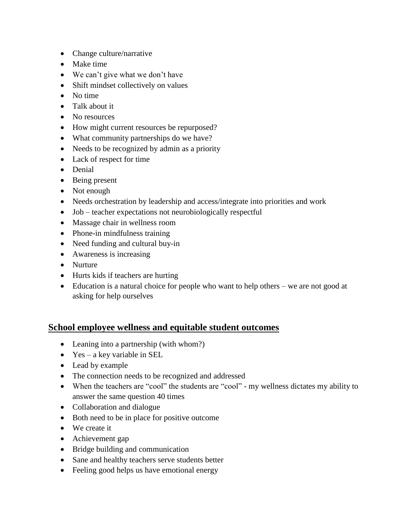- Change culture/narrative
- Make time
- We can't give what we don't have
- Shift mindset collectively on values
- No time
- Talk about it
- No resources
- How might current resources be repurposed?
- What community partnerships do we have?
- Needs to be recognized by admin as a priority
- Lack of respect for time
- Denial
- Being present
- Not enough
- Needs orchestration by leadership and access/integrate into priorities and work
- Job teacher expectations not neurobiologically respectful
- Massage chair in wellness room
- Phone-in mindfulness training
- Need funding and cultural buy-in
- Awareness is increasing
- Nurture
- Hurts kids if teachers are hurting
- Education is a natural choice for people who want to help others we are not good at asking for help ourselves

#### **School employee wellness and equitable student outcomes**

- Leaning into a partnership (with whom?)
- Yes a key variable in SEL
- Lead by example
- The connection needs to be recognized and addressed
- When the teachers are "cool" the students are "cool" my wellness dictates my ability to answer the same question 40 times
- Collaboration and dialogue
- Both need to be in place for positive outcome
- We create it
- Achievement gap
- Bridge building and communication
- Sane and healthy teachers serve students better
- Feeling good helps us have emotional energy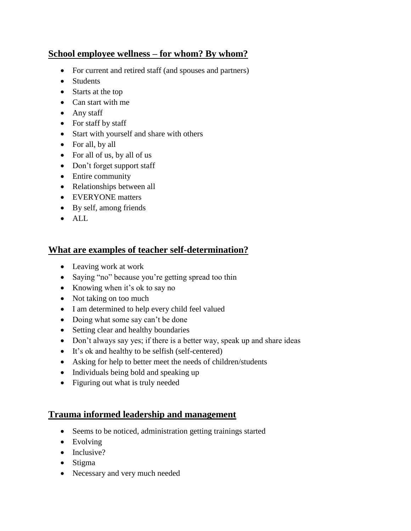## **School employee wellness – for whom? By whom?**

- For current and retired staff (and spouses and partners)
- Students
- Starts at the top
- Can start with me
- Any staff
- For staff by staff
- Start with yourself and share with others
- For all, by all
- For all of us, by all of us
- Don't forget support staff
- Entire community
- Relationships between all
- EVERYONE matters
- By self, among friends
- $\bullet$  ALL

## **What are examples of teacher self-determination?**

- Leaving work at work
- Saying "no" because you're getting spread too thin
- Knowing when it's ok to say no
- Not taking on too much
- I am determined to help every child feel valued
- Doing what some say can't be done
- Setting clear and healthy boundaries
- Don't always say yes; if there is a better way, speak up and share ideas
- It's ok and healthy to be selfish (self-centered)
- Asking for help to better meet the needs of children/students
- Individuals being bold and speaking up
- Figuring out what is truly needed

## **Trauma informed leadership and management**

- Seems to be noticed, administration getting trainings started
- Evolving
- Inclusive?
- Stigma
- Necessary and very much needed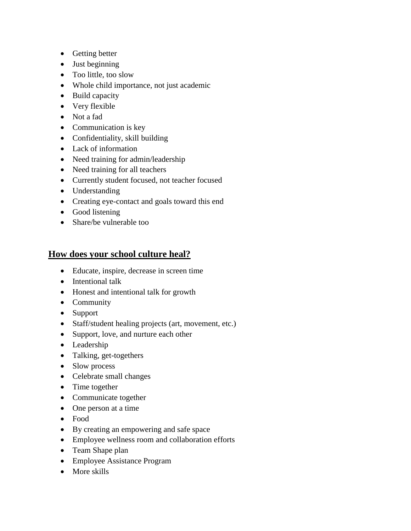- Getting better
- Just beginning
- Too little, too slow
- Whole child importance, not just academic
- Build capacity
- Very flexible
- Not a fad
- Communication is key
- Confidentiality, skill building
- Lack of information
- Need training for admin/leadership
- Need training for all teachers
- Currently student focused, not teacher focused
- Understanding
- Creating eye-contact and goals toward this end
- Good listening
- Share/be vulnerable too

### **How does your school culture heal?**

- Educate, inspire, decrease in screen time
- Intentional talk
- Honest and intentional talk for growth
- Community
- Support
- Staff/student healing projects (art, movement, etc.)
- Support, love, and nurture each other
- Leadership
- Talking, get-togethers
- Slow process
- Celebrate small changes
- Time together
- Communicate together
- One person at a time
- Food
- By creating an empowering and safe space
- Employee wellness room and collaboration efforts
- Team Shape plan
- Employee Assistance Program
- More skills